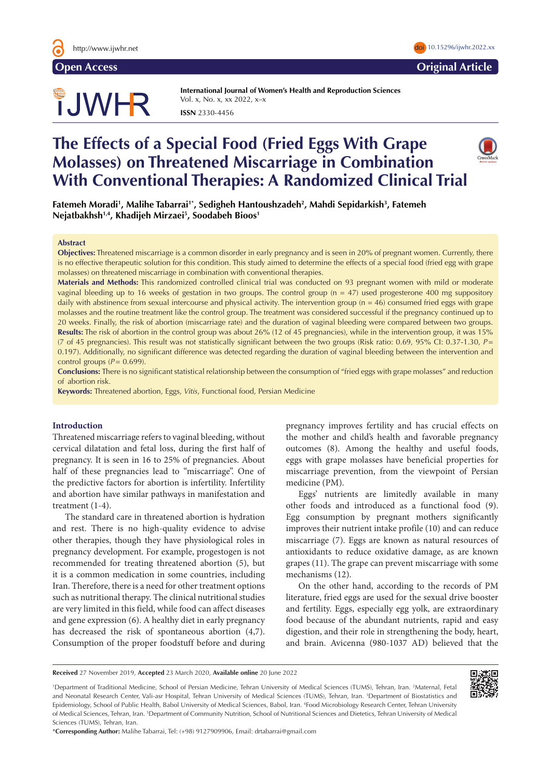

# TJWHR

**International Journal of Women's Health and Reproduction Sciences**  Vol. x, No. x, xx 2022, x–x **ISSN** 2330-4456

# **The Effects of a Special Food (Fried Eggs With Grape Molasses) on Threatened Miscarriage in Combination With Conventional Therapies: A Randomized Clinical Trial**

**Fatemeh Moradi1 , Malihe Tabarrai1\* , Sedigheh Hantoushzadeh2 , Mahdi Sepidarkish3 , Fatemeh Nejatbakhsh1,4, Khadijeh Mirzaei5 , Soodabeh Bioos1**

#### **Abstract**

**Objectives:** Threatened miscarriage is a common disorder in early pregnancy and is seen in 20% of pregnant women. Currently, there is no effective therapeutic solution for this condition. This study aimed to determine the effects of a special food (fried egg with grape molasses) on threatened miscarriage in combination with conventional therapies.

**Materials and Methods:** This randomized controlled clinical trial was conducted on 93 pregnant women with mild or moderate vaginal bleeding up to 16 weeks of gestation in two groups. The control group ( $n = 47$ ) used progesterone 400 mg suppository daily with abstinence from sexual intercourse and physical activity. The intervention group (n = 46) consumed fried eggs with grape molasses and the routine treatment like the control group. The treatment was considered successful if the pregnancy continued up to 20 weeks. Finally, the risk of abortion (miscarriage rate) and the duration of vaginal bleeding were compared between two groups. **Results:** The risk of abortion in the control group was about 26% (12 of 45 pregnancies), while in the intervention group, it was 15% (7 of 45 pregnancies). This result was not statistically significant between the two groups (Risk ratio: 0.69, 95% CI: 0.37-1.30, *P*= 0.197). Additionally, no significant difference was detected regarding the duration of vaginal bleeding between the intervention and control groups  $(P = 0.699)$ .

**Conclusions:** There is no significant statistical relationship between the consumption of "fried eggs with grape molasses" and reduction of abortion risk.

**Keywords:** Threatened abortion, Eggs, *Vitis*, Functional food, Persian Medicine

# **Introduction**

Threatened miscarriage refers to vaginal bleeding, without cervical dilatation and fetal loss, during the first half of pregnancy. It is seen in 16 to 25% of pregnancies. About half of these pregnancies lead to "miscarriage". One of the predictive factors for abortion is infertility. Infertility and abortion have similar pathways in manifestation and treatment (1-4).

The standard care in threatened abortion is hydration and rest. There is no high-quality evidence to advise other therapies, though they have physiological roles in pregnancy development. For example, progestogen is not recommended for treating threatened abortion (5), but it is a common medication in some countries, including Iran. Therefore, there is a need for other treatment options such as nutritional therapy. The clinical nutritional studies are very limited in this field, while food can affect diseases and gene expression (6). A healthy diet in early pregnancy has decreased the risk of spontaneous abortion (4,7). Consumption of the proper foodstuff before and during pregnancy improves fertility and has crucial effects on the mother and child's health and favorable pregnancy outcomes (8). Among the healthy and useful foods, eggs with grape molasses have beneficial properties for miscarriage prevention, from the viewpoint of Persian medicine (PM).

Eggs' nutrients are limitedly available in many other foods and introduced as a functional food (9). Egg consumption by pregnant mothers significantly improves their nutrient intake profile (10) and can reduce miscarriage (7). Eggs are known as natural resources of antioxidants to reduce oxidative damage, as are known grapes (11). The grape can prevent miscarriage with some mechanisms (12).

On the other hand, according to the records of PM literature, fried eggs are used for the sexual drive booster and fertility. Eggs, especially egg yolk, are extraordinary food because of the abundant nutrients, rapid and easy digestion, and their role in strengthening the body, heart, and brain. Avicenna (980-1037 AD) believed that the

**Received** 27 November 2019, **Accepted** 23 March 2020, **Available online** 20 June 2022

<sup>1</sup>Department of Traditional Medicine, School of Persian Medicine, Tehran University of Medical Sciences (TUMS), Tehran, Iran. <sup>2</sup>Maternal, Fetal and Neonatal Research Center, Vali-asr Hospital, Tehran University of Medical Sciences (TUMS), Tehran, Iran. <sup>3</sup>Department of Biostatistics and Epidemiology, School of Public Health, Babol University of Medical Sciences, Babol, Iran. 4 Food Microbiology Research Center, Tehran University of Medical Sciences, Tehran, Iran. <sup>5</sup>Department of Community Nutrition, School of Nutritional Sciences and Dietetics, Tehran University of Medical Sciences (TUMS), Tehran, Iran.

\***Corresponding Author:** Malihe Tabarrai, Tel: (+98) 9127909906, Email: drtabarrai@gmail.com





**Open Access Original Article**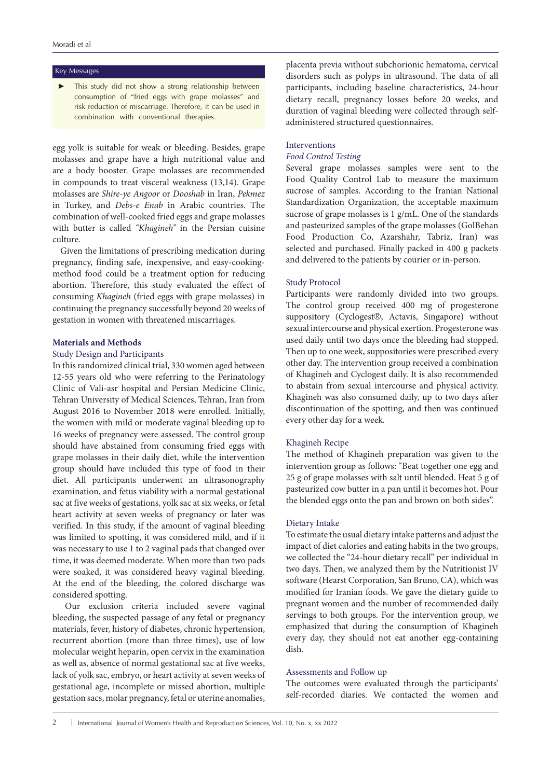# Key Messages

This study did not show a strong relationship between consumption of "fried eggs with grape molasses" and risk reduction of miscarriage. Therefore, it can be used in combination with conventional therapies.

egg yolk is suitable for weak or bleeding. Besides, grape molasses and grape have a high nutritional value and are a body booster. Grape molasses are recommended in compounds to treat visceral weakness (13,14). Grape molasses are *Shire-ye Angoor* or *Dooshab* in Iran, *Pekmez* in Turkey, and *Debs-e Enab* in Arabic countries. The combination of well-cooked fried eggs and grape molasses with butter is called *"Khagineh"* in the Persian cuisine culture.

Given the limitations of prescribing medication during pregnancy, finding safe, inexpensive, and easy-cookingmethod food could be a treatment option for reducing abortion. Therefore, this study evaluated the effect of consuming *Khagineh* (fried eggs with grape molasses) in continuing the pregnancy successfully beyond 20 weeks of gestation in women with threatened miscarriages.

# **Materials and Methods**

# Study Design and Participants

In this randomized clinical trial, 330 women aged between 12-55 years old who were referring to the Perinatology Clinic of Vali-asr hospital and Persian Medicine Clinic, Tehran University of Medical Sciences, Tehran, Iran from August 2016 to November 2018 were enrolled. Initially, the women with mild or moderate vaginal bleeding up to 16 weeks of pregnancy were assessed. The control group should have abstained from consuming fried eggs with grape molasses in their daily diet, while the intervention group should have included this type of food in their diet. All participants underwent an ultrasonography examination, and fetus viability with a normal gestational sac at five weeks of gestations, yolk sac at six weeks, or fetal heart activity at seven weeks of pregnancy or later was verified. In this study, if the amount of vaginal bleeding was limited to spotting, it was considered mild, and if it was necessary to use 1 to 2 vaginal pads that changed over time, it was deemed moderate. When more than two pads were soaked, it was considered heavy vaginal bleeding. At the end of the bleeding, the colored discharge was considered spotting.

Our exclusion criteria included severe vaginal bleeding, the suspected passage of any fetal or pregnancy materials, fever, history of diabetes, chronic hypertension, recurrent abortion (more than three times), use of low molecular weight heparin, open cervix in the examination as well as, absence of normal gestational sac at five weeks, lack of yolk sac, embryo, or heart activity at seven weeks of gestational age, incomplete or missed abortion, multiple gestation sacs, molar pregnancy, fetal or uterine anomalies,

placenta previa without subchorionic hematoma, cervical disorders such as polyps in ultrasound. The data of all participants, including baseline characteristics, 24-hour dietary recall, pregnancy losses before 20 weeks, and duration of vaginal bleeding were collected through selfadministered structured questionnaires.

# Interventions

# *Food Control Testing*

Several grape molasses samples were sent to the Food Quality Control Lab to measure the maximum sucrose of samples. According to the Iranian National Standardization Organization, the acceptable maximum sucrose of grape molasses is 1 g/mL. One of the standards and pasteurized samples of the grape molasses (GolBehan Food Production Co, Azarshahr, Tabriz, Iran) was selected and purchased. Finally packed in 400 g packets and delivered to the patients by courier or in-person.

# Study Protocol

Participants were randomly divided into two groups. The control group received 400 mg of progesterone suppository (Cyclogest®, Actavis, Singapore) without sexual intercourse and physical exertion. Progesterone was used daily until two days once the bleeding had stopped. Then up to one week, suppositories were prescribed every other day. The intervention group received a combination of Khagineh and Cyclogest daily. It is also recommended to abstain from sexual intercourse and physical activity. Khagineh was also consumed daily, up to two days after discontinuation of the spotting, and then was continued every other day for a week.

# Khagineh Recipe

The method of Khagineh preparation was given to the intervention group as follows: "Beat together one egg and 25 g of grape molasses with salt until blended. Heat 5 g of pasteurized cow butter in a pan until it becomes hot. Pour the blended eggs onto the pan and brown on both sides".

# Dietary Intake

To estimate the usual dietary intake patterns and adjust the impact of diet calories and eating habits in the two groups, we collected the "24-hour dietary recall" per individual in two days. Then, we analyzed them by the Nutritionist IV software (Hearst Corporation, San Bruno, CA), which was modified for Iranian foods. We gave the dietary guide to pregnant women and the number of recommended daily servings to both groups. For the intervention group, we emphasized that during the consumption of Khagineh every day, they should not eat another egg-containing dish.

# Assessments and Follow up

The outcomes were evaluated through the participants' self-recorded diaries. We contacted the women and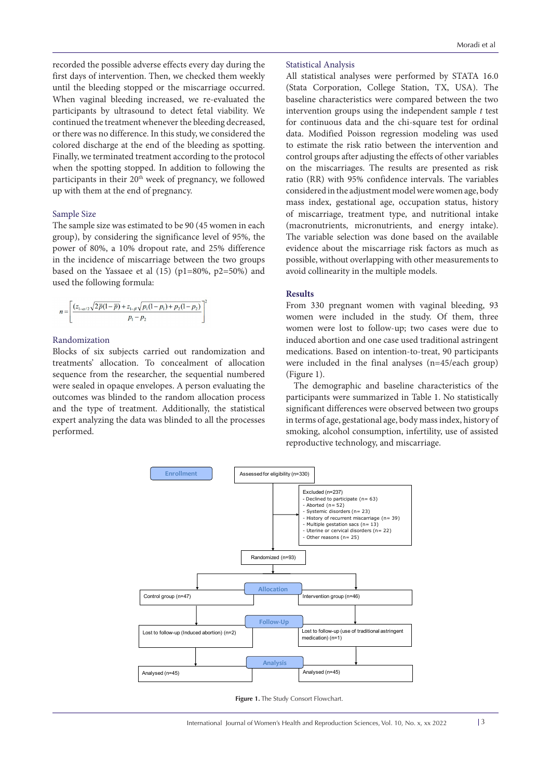recorded the possible adverse effects every day during the first days of intervention. Then, we checked them weekly until the bleeding stopped or the miscarriage occurred. When vaginal bleeding increased, we re-evaluated the participants by ultrasound to detect fetal viability. We continued the treatment whenever the bleeding decreased, or there was no difference. In this study, we considered the colored discharge at the end of the bleeding as spotting. Finally, we terminated treatment according to the protocol when the spotting stopped. In addition to following the participants in their 20<sup>th</sup> week of pregnancy, we followed up with them at the end of pregnancy.

# Sample Size

The sample size was estimated to be 90 (45 women in each group), by considering the significance level of 95%, the power of 80%, a 10% dropout rate, and 25% difference in the incidence of miscarriage between the two groups based on the Yassaee et al (15) (p1=80%, p2=50%) and used the following formula:

$$
n = \left[ \frac{(z_{1-\alpha/2}\sqrt{2\bar{p}(1-\bar{p})} + z_{1-\beta}\sqrt{p_1(1-p_1)+p_2(1-p_2)}}{p_1-p_2} \right]^2
$$

# Randomization

Blocks of six subjects carried out randomization and treatments' allocation. To concealment of allocation sequence from the researcher, the sequential numbered were sealed in opaque envelopes. A person evaluating the outcomes was blinded to the random allocation process and the type of treatment. Additionally, the statistical expert analyzing the data was blinded to all the processes performed.

# Statistical Analysis

All statistical analyses were performed by STATA 16.0 (Stata Corporation, College Station, TX, USA). The baseline characteristics were compared between the two intervention groups using the independent sample *t* test for continuous data and the chi-square test for ordinal data. Modified Poisson regression modeling was used to estimate the risk ratio between the intervention and control groups after adjusting the effects of other variables on the miscarriages. The results are presented as risk ratio (RR) with 95% confidence intervals. The variables considered in the adjustment model were women age, body mass index, gestational age, occupation status, history of miscarriage, treatment type, and nutritional intake (macronutrients, micronutrients, and energy intake). The variable selection was done based on the available evidence about the miscarriage risk factors as much as possible, without overlapping with other measurements to avoid collinearity in the multiple models.

# **Results**

From 330 pregnant women with vaginal bleeding, 93 women were included in the study. Of them, three women were lost to follow-up; two cases were due to induced abortion and one case used traditional astringent medications. Based on intention-to-treat, 90 participants were included in the final analyses (n=45/each group) (Figure 1).

The demographic and baseline characteristics of the participants were summarized in Table 1. No statistically significant differences were observed between two groups in terms of age, gestational age, body mass index, history of smoking, alcohol consumption, infertility, use of assisted reproductive technology, and miscarriage.



**Figure 1.** The Study Consort Flowchart.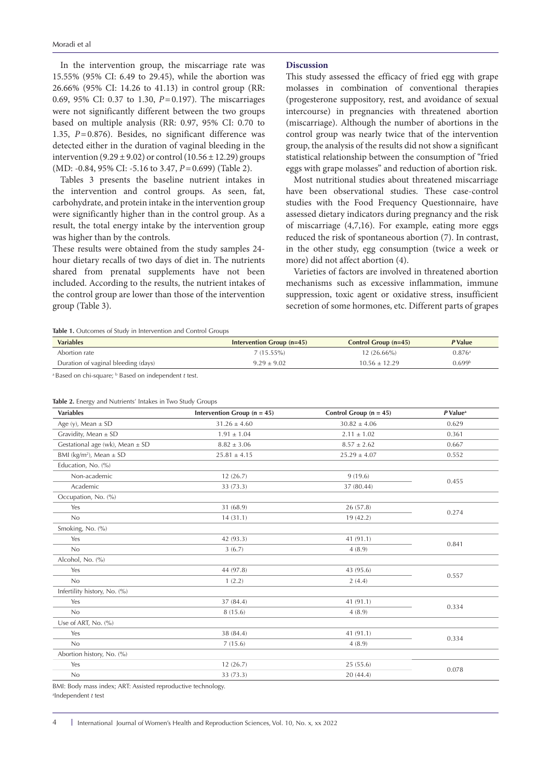In the intervention group, the miscarriage rate was 15.55% (95% CI: 6.49 to 29.45), while the abortion was 26.66% (95% CI: 14.26 to 41.13) in control group (RR: 0.69, 95% CI: 0.37 to 1.30, *P*=0.197). The miscarriages were not significantly different between the two groups based on multiple analysis (RR: 0.97, 95% CI: 0.70 to 1.35, *P*=0.876). Besides, no significant difference was detected either in the duration of vaginal bleeding in the intervention  $(9.29 \pm 9.02)$  or control  $(10.56 \pm 12.29)$  groups (MD: -0.84, 95% CI: -5.16 to 3.47, *P*=0.699) (Table 2).

Tables 3 presents the baseline nutrient intakes in the intervention and control groups. As seen, fat, carbohydrate, and protein intake in the intervention group were significantly higher than in the control group. As a result, the total energy intake by the intervention group was higher than by the controls.

These results were obtained from the study samples 24 hour dietary recalls of two days of diet in. The nutrients shared from prenatal supplements have not been included. According to the results, the nutrient intakes of the control group are lower than those of the intervention group (Table 3).

# **Discussion**

This study assessed the efficacy of fried egg with grape molasses in combination of conventional therapies (progesterone suppository, rest, and avoidance of sexual intercourse) in pregnancies with threatened abortion (miscarriage). Although the number of abortions in the control group was nearly twice that of the intervention group, the analysis of the results did not show a significant statistical relationship between the consumption of "fried eggs with grape molasses" and reduction of abortion risk.

Most nutritional studies about threatened miscarriage have been observational studies. These case-control studies with the Food Frequency Questionnaire, have assessed dietary indicators during pregnancy and the risk of miscarriage (4,7,16). For example, eating more eggs reduced the risk of spontaneous abortion (7). In contrast, in the other study, egg consumption (twice a week or more) did not affect abortion (4).

Varieties of factors are involved in threatened abortion mechanisms such as excessive inflammation, immune suppression, toxic agent or oxidative stress, insufficient secretion of some hormones, etc. Different parts of grapes

**Table 1.** Outcomes of Study in Intervention and Control Groups

| <b>Variables</b>                    | Intervention Group $(n=45)$ | Control Group $(n=45)$ | P Value            |
|-------------------------------------|-----------------------------|------------------------|--------------------|
| Abortion rate                       | $7(15.55\%)$                | $12(26.66\%)$          | 0.876a             |
| Duration of vaginal bleeding (days) | $9.29 + 9.02$               | $10.56 + 12.29$        | 0.699 <sup>b</sup> |

<sup>a</sup> Based on chi-square; <sup>b</sup> Based on independent *t* test.

| <b>Variables</b>                        | Intervention Group ( $n = 45$ ) | Control Group $(n = 45)$ | $P$ Value <sup>a</sup> |
|-----------------------------------------|---------------------------------|--------------------------|------------------------|
| Age (y), Mean $\pm$ SD                  | $31.26 \pm 4.60$                | $30.82 \pm 4.06$         | 0.629                  |
| Gravidity, Mean $\pm$ SD                | $1.91 \pm 1.04$                 | $2.11 \pm 1.02$          | 0.361                  |
| Gestational age (wk), Mean $\pm$ SD     | $8.82 \pm 3.06$                 | $8.57 \pm 2.62$          | 0.667                  |
| BMI (kg/m <sup>2</sup> ), Mean $\pm$ SD | $25.81 \pm 4.15$                | $25.29 \pm 4.07$         | 0.552                  |
| Education, No. (%)                      |                                 |                          |                        |
| Non-academic                            | 12(26.7)                        | 9(19.6)                  | 0.455                  |
| Academic                                | 33 (73.3)                       | 37 (80.44)               |                        |
| Occupation, No. (%)                     |                                 |                          |                        |
| Yes                                     | 31 (68.9)                       | 26 (57.8)                |                        |
| No                                      | 14(31.1)                        | 19(42.2)                 | 0.274                  |
| Smoking, No. (%)                        |                                 |                          |                        |
| Yes                                     | 42 (93.3)                       | 41 (91.1)                | 0.841                  |
| No                                      | 3(6.7)                          | 4(8.9)                   |                        |
| Alcohol, No. (%)                        |                                 |                          |                        |
| Yes                                     | 44 (97.8)                       | 43 (95.6)                |                        |
| No                                      | 1(2.2)                          | 2(4.4)                   | 0.557                  |
| Infertility history, No. (%)            |                                 |                          |                        |
| Yes                                     | 37 (84.4)                       | 41 (91.1)                |                        |
| No                                      | 8 (15.6)                        | 4(8.9)                   | 0.334                  |
| Use of ART, No. (%)                     |                                 |                          |                        |
| Yes                                     | 38 (84.4)                       | 41 (91.1)                |                        |
| No                                      | 7(15.6)                         | 4(8.9)                   | 0.334                  |
| Abortion history, No. (%)               |                                 |                          |                        |
| Yes                                     | 12(26.7)                        | 25(55.6)                 |                        |
| No                                      | 33 (73.3)                       | 20(44.4)                 | 0.078                  |

**Table 2.** Energy and Nutrients' Intakes in Two Study Groups

BMI: Body mass index; ART: Assisted reproductive technology.

a Independent *t* test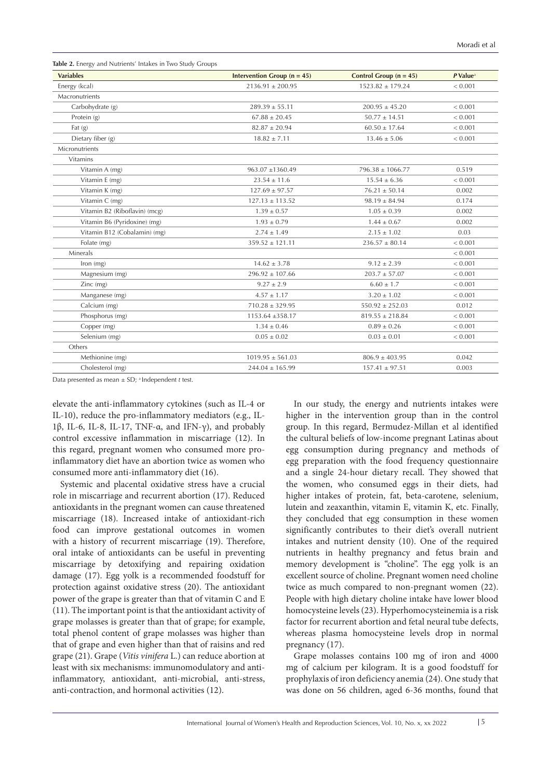| <b>Variables</b>              | Intervention Group ( $n = 45$ ) | Control Group $(n = 45)$ | P Value <sup>a</sup> |
|-------------------------------|---------------------------------|--------------------------|----------------------|
| Energy (kcal)                 | $2136.91 \pm 200.95$            | $1523.82 \pm 179.24$     | < 0.001              |
| Macronutrients                |                                 |                          |                      |
| Carbohydrate (g)              | $289.39 \pm 55.11$              | $200.95 \pm 45.20$       | < 0.001              |
| Protein (g)                   | $67.88 \pm 20.45$               | $50.77 \pm 14.51$        | < 0.001              |
| Fat $(g)$                     | $82.87 \pm 20.94$               | $60.50 \pm 17.64$        | < 0.001              |
| Dietary fiber (g)             | $18.82 \pm 7.11$                | $13.46 \pm 5.06$         | < 0.001              |
| Micronutrients                |                                 |                          |                      |
| <b>Vitamins</b>               |                                 |                          |                      |
| Vitamin A (mg)                | $963.07 + 1360.49$              | $796.38 + 1066.77$       | 0.519                |
| Vitamin E (mg)                | $23.54 \pm 11.6$                | $15.54 \pm 6.36$         | < 0.001              |
| Vitamin K (mg)                | $127.69 \pm 97.57$              | $76.21 \pm 50.14$        | 0.002                |
| Vitamin C (mg)                | $127.13 \pm 113.52$             | $98.19 \pm 84.94$        | 0.174                |
| Vitamin B2 (Riboflavin) (mcg) | $1.39 \pm 0.57$                 | $1.05 \pm 0.39$          | 0.002                |
| Vitamin B6 (Pyridoxine) (mg)  | $1.93 \pm 0.79$                 | $1.44 \pm 0.67$          | 0.002                |
| Vitamin B12 (Cobalamin) (mg)  | $2.74 \pm 1.49$                 | $2.15 \pm 1.02$          | 0.03                 |
| Folate (mg)                   | $359.52 \pm 121.11$             | $236.57 \pm 80.14$       | < 0.001              |
| Minerals                      |                                 |                          | < 0.001              |
| lron (mg)                     | $14.62 \pm 3.78$                | $9.12 \pm 2.39$          | < 0.001              |
| Magnesium (mg)                | $296.92 \pm 107.66$             | $203.7 \pm 57.07$        | < 0.001              |
| $Zinc$ (mg)                   | $9.27 \pm 2.9$                  | $6.60 \pm 1.7$           | < 0.001              |
| Manganese (mg)                | $4.57 \pm 1.17$                 | $3.20 \pm 1.02$          | < 0.001              |
| Calcium (mg)                  | $710.28 \pm 329.95$             | $550.92 \pm 252.03$      | 0.012                |
| Phosphorus (mg)               | $1153.64 \pm 358.17$            | $819.55 \pm 218.84$      | < 0.001              |
| Copper (mg)                   | $1.34 \pm 0.46$                 | $0.89 \pm 0.26$          | < 0.001              |
| Selenium (mg)                 | $0.05 \pm 0.02$                 | $0.03 \pm 0.01$          | < 0.001              |
| Others                        |                                 |                          |                      |
| Methionine (mg)               | $1019.95 \pm 561.03$            | $806.9 \pm 403.95$       | 0.042                |
| Cholesterol (mg)              | $244.04 \pm 165.99$             | $157.41 \pm 97.51$       | 0.003                |

Data presented as mean  $\pm$  SD; <sup>a</sup> Independent *t* test.

elevate the anti-inflammatory cytokines (such as IL-4 or IL-10), reduce the pro-inflammatory mediators (e.g., IL-1β, IL-6, IL-8, IL-17, TNF-α, and IFN-γ), and probably control excessive inflammation in miscarriage (12). In this regard, pregnant women who consumed more proinflammatory diet have an abortion twice as women who consumed more anti-inflammatory diet (16).

Systemic and placental oxidative stress have a crucial role in miscarriage and recurrent abortion (17). Reduced antioxidants in the pregnant women can cause threatened miscarriage (18). Increased intake of antioxidant-rich food can improve gestational outcomes in women with a history of recurrent miscarriage (19). Therefore, oral intake of antioxidants can be useful in preventing miscarriage by detoxifying and repairing oxidation damage (17). Egg yolk is a recommended foodstuff for protection against oxidative stress (20). The antioxidant power of the grape is greater than that of vitamin C and E (11). The important point is that the antioxidant activity of grape molasses is greater than that of grape; for example, total phenol content of grape molasses was higher than that of grape and even higher than that of raisins and red grape (21). Grape (*Vitis vinifera* L.) can reduce abortion at least with six mechanisms: immunomodulatory and antiinflammatory, antioxidant, anti-microbial, anti-stress, anti-contraction, and hormonal activities (12).

In our study, the energy and nutrients intakes were higher in the intervention group than in the control group. In this regard, Bermudez-Millan et al identified the cultural beliefs of low-income pregnant Latinas about egg consumption during pregnancy and methods of egg preparation with the food frequency questionnaire and a single 24-hour dietary recall. They showed that the women, who consumed eggs in their diets, had higher intakes of protein, fat, beta-carotene, selenium, lutein and zeaxanthin, vitamin E, vitamin K, etc. Finally, they concluded that egg consumption in these women significantly contributes to their diet's overall nutrient intakes and nutrient density (10). One of the required nutrients in healthy pregnancy and fetus brain and memory development is "choline". The egg yolk is an excellent source of choline. Pregnant women need choline twice as much compared to non-pregnant women (22). People with high dietary choline intake have lower blood homocysteine levels (23). Hyperhomocysteinemia is a risk factor for recurrent abortion and fetal neural tube defects, whereas plasma homocysteine levels drop in normal pregnancy (17).

Grape molasses contains 100 mg of iron and 4000 mg of calcium per kilogram. It is a good foodstuff for prophylaxis of iron deficiency anemia (24). One study that was done on 56 children, aged 6-36 months, found that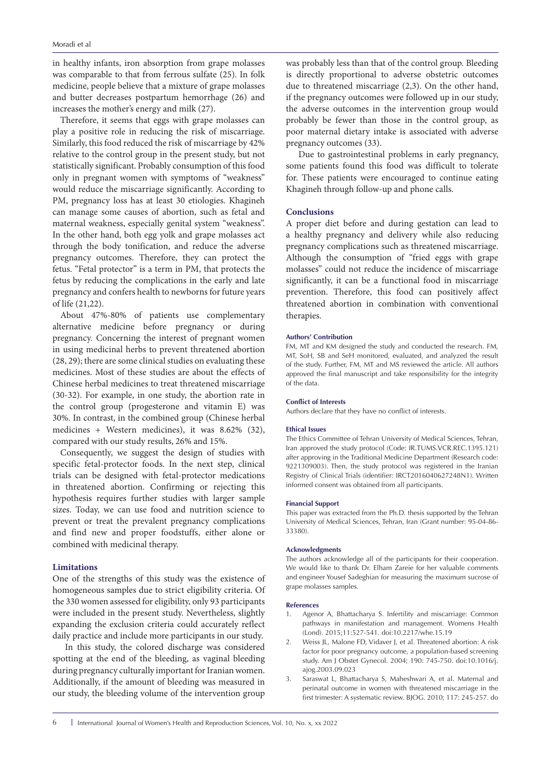in healthy infants, iron absorption from grape molasses was comparable to that from ferrous sulfate (25). In folk medicine, people believe that a mixture of grape molasses and butter decreases postpartum hemorrhage (26) and increases the mother's energy and milk (27).

Therefore, it seems that eggs with grape molasses can play a positive role in reducing the risk of miscarriage. Similarly, this food reduced the risk of miscarriage by 42% relative to the control group in the present study, but not statistically significant. Probably consumption of this food only in pregnant women with symptoms of "weakness" would reduce the miscarriage significantly. According to PM, pregnancy loss has at least 30 etiologies. Khagineh can manage some causes of abortion, such as fetal and maternal weakness, especially genital system "weakness". In the other hand, both egg yolk and grape molasses act through the body tonification, and reduce the adverse pregnancy outcomes. Therefore, they can protect the fetus. "Fetal protector" is a term in PM, that protects the fetus by reducing the complications in the early and late pregnancy and confers health to newborns for future years of life (21,22).

About 47%-80% of patients use complementary alternative medicine before pregnancy or during pregnancy. Concerning the interest of pregnant women in using medicinal herbs to prevent threatened abortion (28, 29); there are some clinical studies on evaluating these medicines. Most of these studies are about the effects of Chinese herbal medicines to treat threatened miscarriage (30-32). For example, in one study, the abortion rate in the control group (progesterone and vitamin E) was 30%. In contrast, in the combined group (Chinese herbal medicines + Western medicines), it was 8.62% (32), compared with our study results, 26% and 15%.

Consequently, we suggest the design of studies with specific fetal-protector foods. In the next step, clinical trials can be designed with fetal-protector medications in threatened abortion. Confirming or rejecting this hypothesis requires further studies with larger sample sizes. Today, we can use food and nutrition science to prevent or treat the prevalent pregnancy complications and find new and proper foodstuffs, either alone or combined with medicinal therapy.

## **Limitations**

One of the strengths of this study was the existence of homogeneous samples due to strict eligibility criteria. Of the 330 women assessed for eligibility, only 93 participants were included in the present study. Nevertheless, slightly expanding the exclusion criteria could accurately reflect daily practice and include more participants in our study.

In this study, the colored discharge was considered spotting at the end of the bleeding, as vaginal bleeding during pregnancy culturally important for Iranian women. Additionally, if the amount of bleeding was measured in our study, the bleeding volume of the intervention group

was probably less than that of the control group. Bleeding is directly proportional to adverse obstetric outcomes due to threatened miscarriage (2,3). On the other hand, if the pregnancy outcomes were followed up in our study, the adverse outcomes in the intervention group would probably be fewer than those in the control group, as poor maternal dietary intake is associated with adverse pregnancy outcomes (33).

Due to gastrointestinal problems in early pregnancy, some patients found this food was difficult to tolerate for. These patients were encouraged to continue eating Khagineh through follow-up and phone calls.

### **Conclusions**

A proper diet before and during gestation can lead to a healthy pregnancy and delivery while also reducing pregnancy complications such as threatened miscarriage. Although the consumption of "fried eggs with grape molasses" could not reduce the incidence of miscarriage significantly, it can be a functional food in miscarriage prevention. Therefore, this food can positively affect threatened abortion in combination with conventional therapies.

#### **Authors' Contribution**

FM, MT and KM designed the study and conducted the research. FM, MT, SoH, SB and SeH monitored, evaluated, and analyzed the result of the study. Further, FM, MT and MS reviewed the article. All authors approved the final manuscript and take responsibility for the integrity of the data.

### **Conflict of Interests**

Authors declare that they have no conflict of interests.

#### **Ethical Issues**

The Ethics Committee of Tehran University of Medical Sciences, Tehran, Iran approved the study protocol (Code: IR.TUMS.VCR.REC.1395.121) after approving in the Traditional Medicine Department (Research code: 9221309003). Then, the study protocol was registered in the Iranian Registry of Clinical Trials (identifier: IRCT2016040627248N1). Written informed consent was obtained from all participants.

#### **Financial Support**

This paper was extracted from the Ph.D. thesis supported by the Tehran University of Medical Sciences, Tehran, Iran (Grant number: 95-04-86- 33380).

#### **Acknowledgments**

The authors acknowledge all of the participants for their cooperation. We would like to thank Dr. Elham Zareie for her valuable comments and engineer Yousef Sadeghian for measuring the maximum sucrose of grape molasses samples.

#### **References**

- 1. Agenor A, Bhattacharya S. Infertility and miscarriage: Common pathways in manifestation and management. Womens Health (Lond). 2015;11:527-541. doi:10.2217/whe.15.19
- 2. Weiss JL, Malone FD, Vidaver J, et al. Threatened abortion: A risk factor for poor pregnancy outcome, a population-based screening study. Am J Obstet Gynecol. 2004; 190: 745-750. doi:10.1016/j. ajog.2003.09.023
- 3. Saraswat L, Bhattacharya S, Maheshwari A, et al. Maternal and perinatal outcome in women with threatened miscarriage in the first trimester: A systematic review. BJOG. 2010; 117: 245-257. do